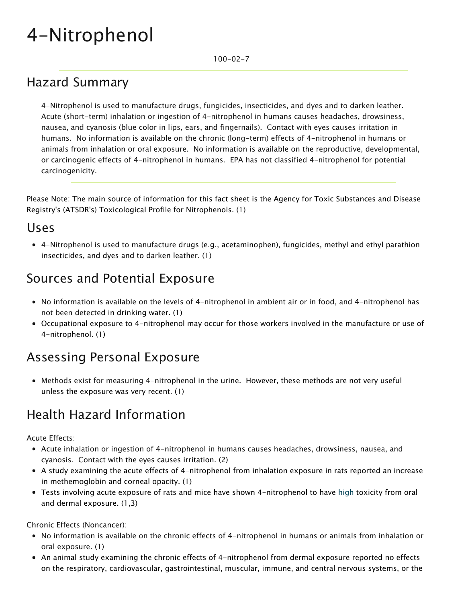# 4-Nitrophenol

100-02-7

## Hazard Summary

4-Nitrophenol is used to manufacture drugs, fungicides, insecticides, and dyes and to darken leather. Acute (short-term) inhalation or ingestion of 4-nitrophenol in humans causes headaches, drowsiness, nausea, and cyanosis (blue color in lips, ears, and fingernails). Contact with eyes causes irritation in humans. No information is available on the chronic (long-term) effects of 4-nitrophenol in humans or animals from inhalation or oral exposure. No information is available on the reproductive, developmental, or carcinogenic effects of 4-nitrophenol in humans. EPA has not classified 4-nitrophenol for potential carcinogenicity.

Please Note: The main source of information for this fact sheet is the Agency for Toxic Substances and Disease Registry's (ATSDR's) Toxicological Profile for Nitrophenols. (1)

#### Uses

4-Nitrophenol is used to manufacture drugs (e.g., acetaminophen), fungicides, methyl and ethyl parathion insecticides, and dyes and to darken leather. (1)

#### Sources and Potential Exposure

- No information is available on the levels of 4-nitrophenol in ambient air or in food, and 4-nitrophenol has not been detected in drinking water. (1)
- Occupational exposure to 4-nitrophenol may occur for those workers involved in the manufacture or use of 4-nitrophenol. (1)

#### Assessing Personal Exposure

Methods exist for measuring 4-nitrophenol in the urine. However, these methods are not very useful unless the exposure was very recent. (1)

## Health Hazard Information

Acute Effects:

- Acute inhalation or ingestion of 4-nitrophenol in humans causes headaches, drowsiness, nausea, and cyanosis. Contact with the eyes causes irritation. (2)
- A study examining the acute effects of 4-nitrophenol from inhalation exposure in rats reported an increase in methemoglobin and corneal opacity. (1)
- Tests involving acute exposure of rats and mice have shown 4-nitrophenol to have [high](https://www.epa.gov/haps/about-health-effects-fact-sheets) toxicity from oral and dermal exposure. (1,3)

Chronic Effects (Noncancer):

- No information is available on the chronic effects of 4-nitrophenol in humans or animals from inhalation or oral exposure. (1)
- An animal study examining the chronic effects of 4-nitrophenol from dermal exposure reported no effects on the respiratory, cardiovascular, gastrointestinal, muscular, immune, and central nervous systems, or the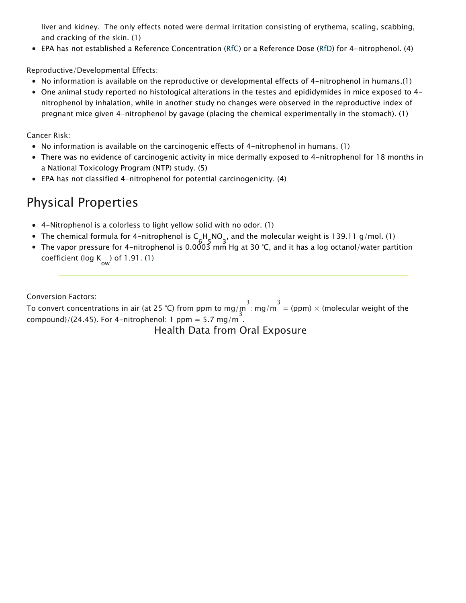liver and kidney. The only effects noted were dermal irritation consisting of erythema, scaling, scabbing, and cracking of the skin. (1)

EPA has not established a Reference Concentration ([RfC\)](https://www.epa.gov/haps/health-effects-notebook-glossary) or a Reference Dose ([RfD](https://www.epa.gov/haps/health-effects-notebook-glossary)) for 4-nitrophenol. (4)

Reproductive/Developmental Effects:

- No information is available on the reproductive or developmental effects of 4-nitrophenol in humans.(1)
- One animal study reported no histological alterations in the testes and epididymides in mice exposed to 4 nitrophenol by inhalation, while in another study no changes were observed in the reproductive index of pregnant mice given 4-nitrophenol by gavage (placing the chemical experimentally in the stomach). (1)

Cancer Risk:

- No information is available on the carcinogenic effects of 4-nitrophenol in humans. (1)
- There was no evidence of carcinogenic activity in mice dermally exposed to 4-nitrophenol for 18 months in a National Toxicology Program (NTP) study. (5)
- EPA has not classified 4-nitrophenol for potential carcinogenicity. (4)

#### Physical Properties

- 4-Nitrophenol is a colorless to light yellow solid with no odor. (1)
- The chemical formula for 4-nitrophenol is C H\_NO , and the molecular weight is 139.11 g/mol. (1)<br>The state of the molecular weight is 139.11 g/mol. (1)
- The vapor pressure for 4-nitrophenol is 0.0003 mm Hg at 30 °C, and it has a log octanol/water partition coefficient (log  $K_{\text{ow}}$ ) of 1.91. (1)

Conversion Factors:

To convert concentrations in air (at 25 °C) from ppm to mg/m  $\frac{3}{2}$ : mg/m  $\frac{3}{2}$  (ppm)  $\times$  (molecular weight of the compound)/(24.45). For 4-nitrophenol: 1 ppm = 5.7 mg/m.

Health Data from Oral Exposure